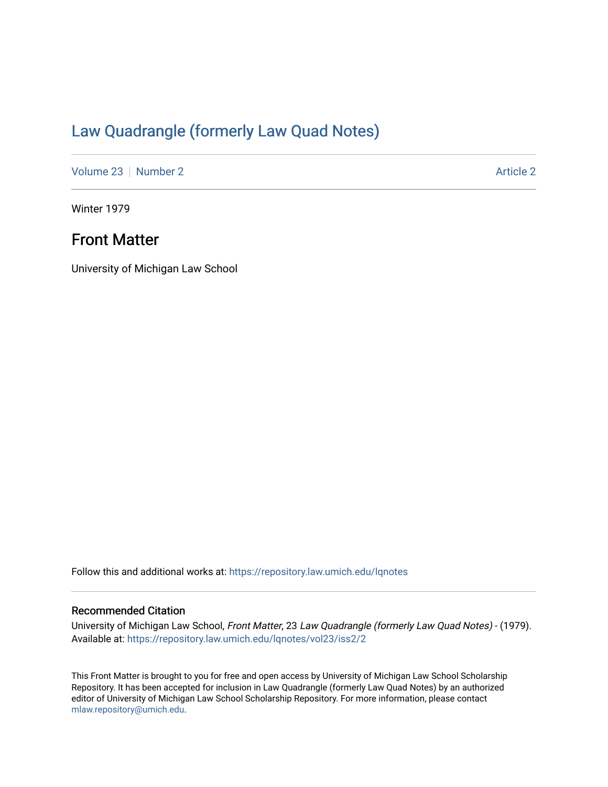## [Law Quadrangle \(formerly Law Quad Notes\)](https://repository.law.umich.edu/lqnotes)

[Volume 23](https://repository.law.umich.edu/lqnotes/vol23) [Number 2](https://repository.law.umich.edu/lqnotes/vol23/iss2) [Article 2](https://repository.law.umich.edu/lqnotes/vol23/iss2/2) Article 2 Article 2 Article 2 Article 2 Article 2 Article 2

Winter 1979

## Front Matter

University of Michigan Law School

Follow this and additional works at: [https://repository.law.umich.edu/lqnotes](https://repository.law.umich.edu/lqnotes?utm_source=repository.law.umich.edu%2Flqnotes%2Fvol23%2Fiss2%2F2&utm_medium=PDF&utm_campaign=PDFCoverPages) 

## Recommended Citation

University of Michigan Law School, Front Matter, 23 Law Quadrangle (formerly Law Quad Notes) - (1979). Available at: [https://repository.law.umich.edu/lqnotes/vol23/iss2/2](https://repository.law.umich.edu/lqnotes/vol23/iss2/2?utm_source=repository.law.umich.edu%2Flqnotes%2Fvol23%2Fiss2%2F2&utm_medium=PDF&utm_campaign=PDFCoverPages) 

This Front Matter is brought to you for free and open access by University of Michigan Law School Scholarship Repository. It has been accepted for inclusion in Law Quadrangle (formerly Law Quad Notes) by an authorized editor of University of Michigan Law School Scholarship Repository. For more information, please contact [mlaw.repository@umich.edu.](mailto:mlaw.repository@umich.edu)